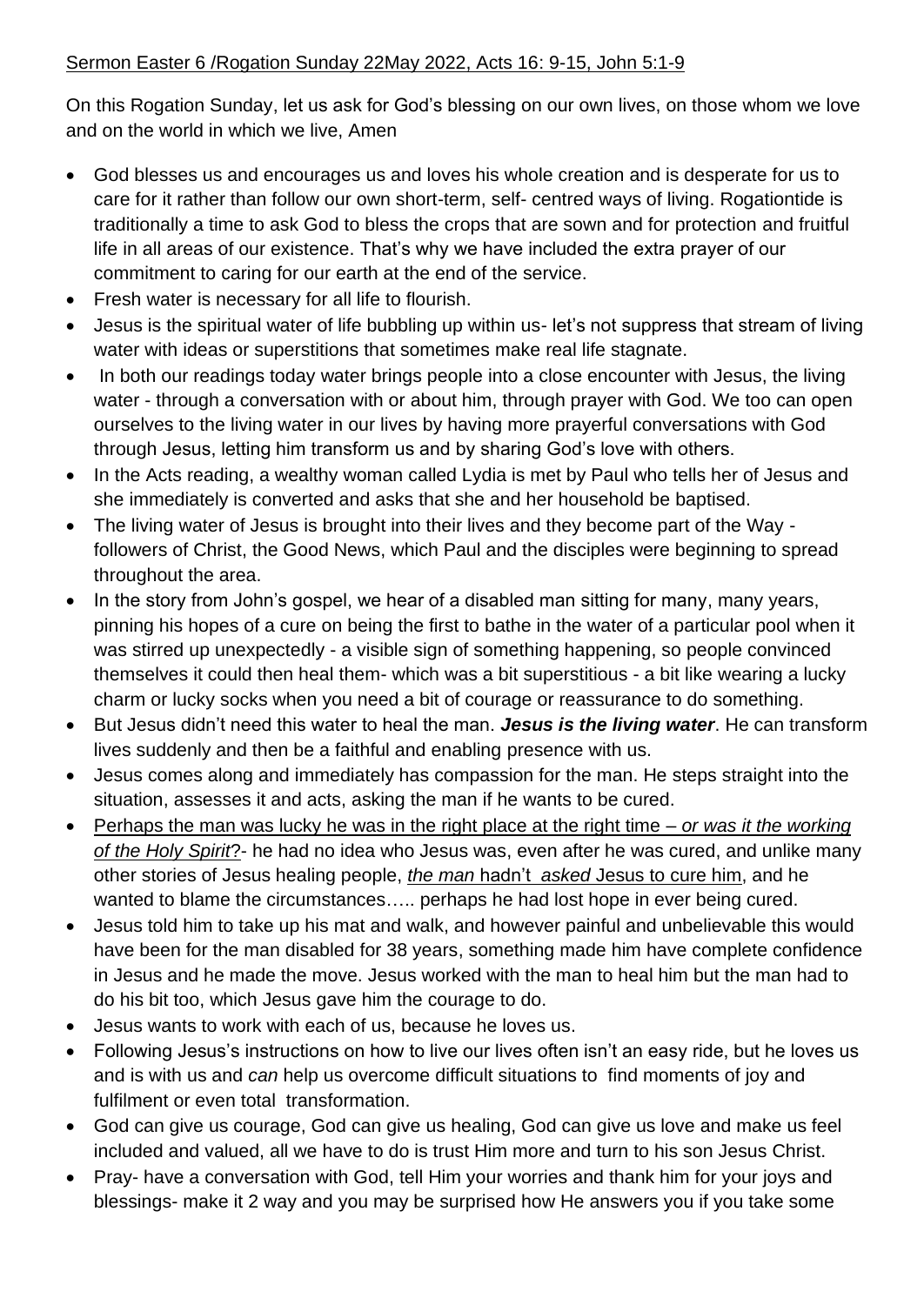On this Rogation Sunday, let us ask for God's blessing on our own lives, on those whom we love and on the world in which we live, Amen

- God blesses us and encourages us and loves his whole creation and is desperate for us to care for it rather than follow our own short-term, self- centred ways of living. Rogationtide is traditionally a time to ask God to bless the crops that are sown and for protection and fruitful life in all areas of our existence. That's why we have included the extra prayer of our commitment to caring for our earth at the end of the service.
- Fresh water is necessary for all life to flourish.
- Jesus is the spiritual water of life bubbling up within us-let's not suppress that stream of living water with ideas or superstitions that sometimes make real life stagnate.
- In both our readings today water brings people into a close encounter with Jesus, the living water - through a conversation with or about him, through prayer with God. We too can open ourselves to the living water in our lives by having more prayerful conversations with God through Jesus, letting him transform us and by sharing God's love with others.
- In the Acts reading, a wealthy woman called Lydia is met by Paul who tells her of Jesus and she immediately is converted and asks that she and her household be baptised.
- The living water of Jesus is brought into their lives and they become part of the Way followers of Christ, the Good News, which Paul and the disciples were beginning to spread throughout the area.
- In the story from John's gospel, we hear of a disabled man sitting for many, many years, pinning his hopes of a cure on being the first to bathe in the water of a particular pool when it was stirred up unexpectedly - a visible sign of something happening, so people convinced themselves it could then heal them- which was a bit superstitious - a bit like wearing a lucky charm or lucky socks when you need a bit of courage or reassurance to do something.
- But Jesus didn't need this water to heal the man. *Jesus is the living water*. He can transform lives suddenly and then be a faithful and enabling presence with us.
- Jesus comes along and immediately has compassion for the man. He steps straight into the situation, assesses it and acts, asking the man if he wants to be cured.
- Perhaps the man was lucky he was in the right place at the right time *or was it the working of the Holy Spirit*?- he had no idea who Jesus was, even after he was cured, and unlike many other stories of Jesus healing people, *the man* hadn't *asked* Jesus to cure him, and he wanted to blame the circumstances….. perhaps he had lost hope in ever being cured.
- Jesus told him to take up his mat and walk, and however painful and unbelievable this would have been for the man disabled for 38 years, something made him have complete confidence in Jesus and he made the move. Jesus worked with the man to heal him but the man had to do his bit too, which Jesus gave him the courage to do.
- Jesus wants to work with each of us, because he loves us.
- Following Jesus's instructions on how to live our lives often isn't an easy ride, but he loves us and is with us and *can* help us overcome difficult situations to find moments of joy and fulfilment or even total transformation.
- God can give us courage, God can give us healing, God can give us love and make us feel included and valued, all we have to do is trust Him more and turn to his son Jesus Christ.
- Pray- have a conversation with God, tell Him your worries and thank him for your joys and blessings- make it 2 way and you may be surprised how He answers you if you take some